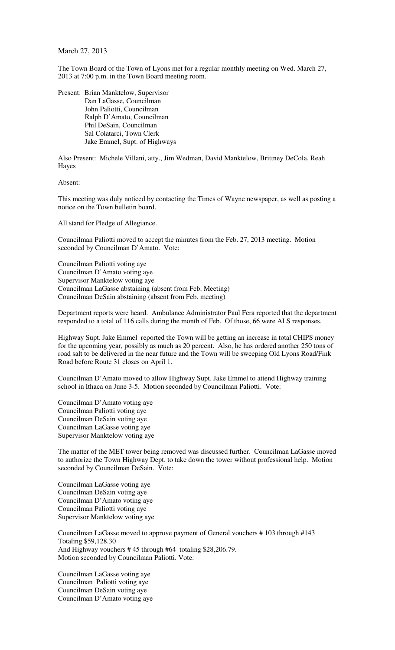## March 27, 2013

The Town Board of the Town of Lyons met for a regular monthly meeting on Wed. March 27, 2013 at 7:00 p.m. in the Town Board meeting room.

Present: Brian Manktelow, Supervisor Dan LaGasse, Councilman John Paliotti, Councilman Ralph D'Amato, Councilman Phil DeSain, Councilman Sal Colatarci, Town Clerk Jake Emmel, Supt. of Highways

Also Present: Michele Villani, atty., Jim Wedman, David Manktelow, Brittney DeCola, Reah Hayes

Absent:

This meeting was duly noticed by contacting the Times of Wayne newspaper, as well as posting a notice on the Town bulletin board.

All stand for Pledge of Allegiance.

Councilman Paliotti moved to accept the minutes from the Feb. 27, 2013 meeting. Motion seconded by Councilman D'Amato. Vote:

Councilman Paliotti voting aye Councilman D'Amato voting aye Supervisor Manktelow voting aye Councilman LaGasse abstaining (absent from Feb. Meeting) Councilman DeSain abstaining (absent from Feb. meeting)

Department reports were heard. Ambulance Administrator Paul Fera reported that the department responded to a total of 116 calls during the month of Feb. Of those, 66 were ALS responses.

Highway Supt. Jake Emmel reported the Town will be getting an increase in total CHIPS money for the upcoming year, possibly as much as 20 percent. Also, he has ordered another 250 tons of road salt to be delivered in the near future and the Town will be sweeping Old Lyons Road/Fink Road before Route 31 closes on April 1.

Councilman D'Amato moved to allow Highway Supt. Jake Emmel to attend Highway training school in Ithaca on June 3-5. Motion seconded by Councilman Paliotti. Vote:

Councilman D'Amato voting aye Councilman Paliotti voting aye Councilman DeSain voting aye Councilman LaGasse voting aye Supervisor Manktelow voting aye

The matter of the MET tower being removed was discussed further. Councilman LaGasse moved to authorize the Town Highway Dept. to take down the tower without professional help. Motion seconded by Councilman DeSain. Vote:

Councilman LaGasse voting aye Councilman DeSain voting aye Councilman D'Amato voting aye Councilman Paliotti voting aye Supervisor Manktelow voting aye

Councilman LaGasse moved to approve payment of General vouchers # 103 through #143 Totaling \$59,128.30 And Highway vouchers # 45 through #64 totaling \$28,206.79. Motion seconded by Councilman Paliotti. Vote:

Councilman LaGasse voting aye Councilman Paliotti voting aye Councilman DeSain voting aye Councilman D'Amato voting aye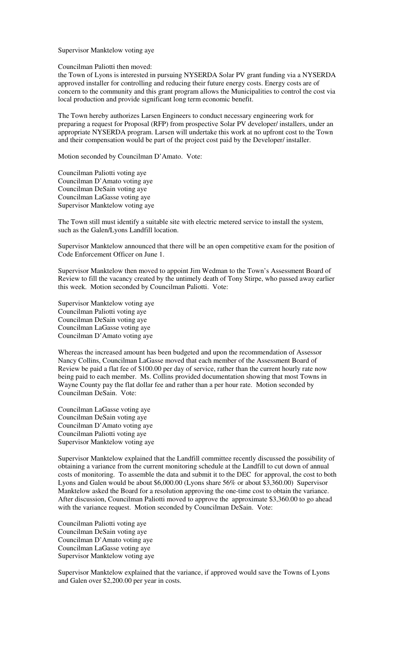Supervisor Manktelow voting aye

Councilman Paliotti then moved:

the Town of Lyons is interested in pursuing NYSERDA Solar PV grant funding via a NYSERDA approved installer for controlling and reducing their future energy costs. Energy costs are of concern to the community and this grant program allows the Municipalities to control the cost via local production and provide significant long term economic benefit.

The Town hereby authorizes Larsen Engineers to conduct necessary engineering work for preparing a request for Proposal (RFP) from prospective Solar PV developer/ installers, under an appropriate NYSERDA program. Larsen will undertake this work at no upfront cost to the Town and their compensation would be part of the project cost paid by the Developer/ installer.

Motion seconded by Councilman D'Amato. Vote:

Councilman Paliotti voting aye Councilman D'Amato voting aye Councilman DeSain voting aye Councilman LaGasse voting aye Supervisor Manktelow voting aye

The Town still must identify a suitable site with electric metered service to install the system, such as the Galen/Lyons Landfill location.

Supervisor Manktelow announced that there will be an open competitive exam for the position of Code Enforcement Officer on June 1.

Supervisor Manktelow then moved to appoint Jim Wedman to the Town's Assessment Board of Review to fill the vacancy created by the untimely death of Tony Stirpe, who passed away earlier this week. Motion seconded by Councilman Paliotti. Vote:

Supervisor Manktelow voting aye Councilman Paliotti voting aye Councilman DeSain voting aye Councilman LaGasse voting aye Councilman D'Amato voting aye

Whereas the increased amount has been budgeted and upon the recommendation of Assessor Nancy Collins, Councilman LaGasse moved that each member of the Assessment Board of Review be paid a flat fee of \$100.00 per day of service, rather than the current hourly rate now being paid to each member. Ms. Collins provided documentation showing that most Towns in Wayne County pay the flat dollar fee and rather than a per hour rate. Motion seconded by Councilman DeSain. Vote:

Councilman LaGasse voting aye Councilman DeSain voting aye Councilman D'Amato voting aye Councilman Paliotti voting aye Supervisor Manktelow voting aye

Supervisor Manktelow explained that the Landfill committee recently discussed the possibility of obtaining a variance from the current monitoring schedule at the Landfill to cut down of annual costs of monitoring. To assemble the data and submit it to the DEC for approval, the cost to both Lyons and Galen would be about \$6,000.00 (Lyons share 56% or about \$3,360.00) Supervisor Manktelow asked the Board for a resolution approving the one-time cost to obtain the variance. After discussion, Councilman Paliotti moved to approve the approximate \$3,360.00 to go ahead with the variance request. Motion seconded by Councilman DeSain. Vote:

Councilman Paliotti voting aye Councilman DeSain voting aye Councilman D'Amato voting aye Councilman LaGasse voting aye Supervisor Manktelow voting aye

Supervisor Manktelow explained that the variance, if approved would save the Towns of Lyons and Galen over \$2,200.00 per year in costs.